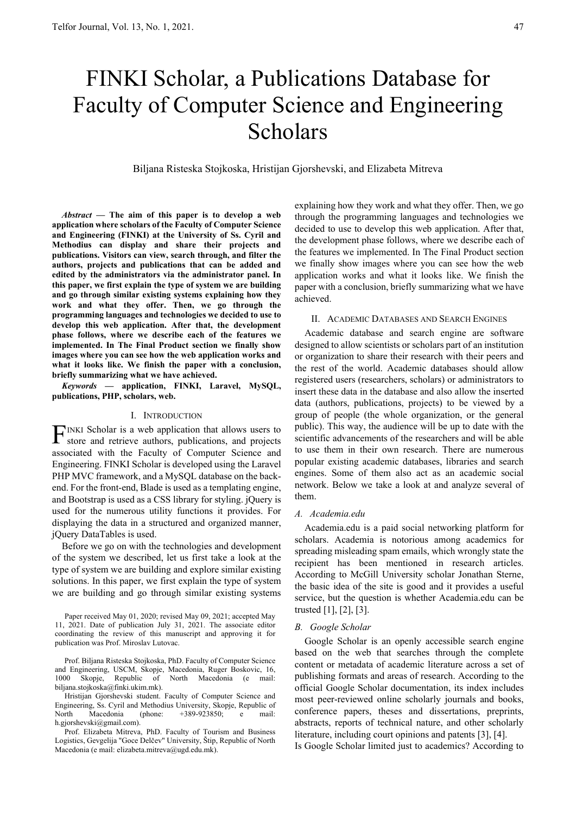# FINKI Scholar, a Publications Database for Faculty of Computer Science and Engineering Scholars

Biljana Risteska Stojkoska, Hristijan Gjorshevski, and Elizabeta Mitreva

*Abstract* **— The aim of this paper is to develop a web application where scholars of the Faculty of Computer Science and Engineering (FINKI) at the University of Ss. Cyril and Methodius can display and share their projects and publications. Visitors can view, search through, and filter the authors, projects and publications that can be added and edited by the administrators via the administrator panel. In this paper, we first explain the type of system we are building and go through similar existing systems explaining how they work and what they offer. Then, we go through the programming languages and technologies we decided to use to develop this web application. After that, the development phase follows, where we describe each of the features we implemented. In The Final Product section we finally show images where you can see how the web application works and what it looks like. We finish the paper with a conclusion, briefly summarizing what we have achieved.** 

*Keywords* **— application, FINKI, Laravel, MySQL, publications, PHP, scholars, web.** 

#### I. INTRODUCTION

INKI Scholar is a web application that allows users to  $\Gamma$ INKI Scholar is a web application that allows users to store and retrieve authors, publications, and projects associated with the Faculty of Computer Science and Engineering. FINKI Scholar is developed using the Laravel PHP MVC framework, and a MySQL database on the backend. For the front-end, Blade is used as a templating engine, and Bootstrap is used as a CSS library for styling. jQuery is used for the numerous utility functions it provides. For displaying the data in a structured and organized manner, jQuery DataTables is used.

Before we go on with the technologies and development of the system we described, let us first take a look at the type of system we are building and explore similar existing solutions. In this paper, we first explain the type of system we are building and go through similar existing systems

Paper received May 01, 2020; revised May 09, 2021; accepted May 11, 2021. Date of publication July 31, 2021. The associate editor coordinating the review of this manuscript and approving it for publication was Prof. Miroslav Lutovac.

Prof. Biljana Risteska Stojkoska, PhD. Faculty of Computer Science and Engineering, USCM, Skopje, Macedonia, Ruger Boskovic, 16, 1000 Skopje, Republic of North Macedonia (e mail: biljana.stojkoska@finki.ukim.mk).

Hristijan Gjorshevski student. Faculty of Computer Science and Engineering, Ss. Cyril and Methodius University, Skopje, Republic of North Macedonia (phone: +389-923850; e mail: h.gjorshevski@gmail.com).

Prof. Elizabeta Mitreva, PhD. Faculty of Tourism and Business Logistics, Gevgelija "Goce Delčev" University, Štip, Republic of North Macedonia (e mail: elizabeta.mitreva@ugd.edu.mk).

explaining how they work and what they offer. Then, we go through the programming languages and technologies we decided to use to develop this web application. After that, the development phase follows, where we describe each of the features we implemented. In The Final Product section we finally show images where you can see how the web application works and what it looks like. We finish the paper with a conclusion, briefly summarizing what we have achieved.

#### II. ACADEMIC DATABASES AND SEARCH ENGINES

Academic database and search engine are software designed to allow scientists or scholars part of an institution or organization to share their research with their peers and the rest of the world. Academic databases should allow registered users (researchers, scholars) or administrators to insert these data in the database and also allow the inserted data (authors, publications, projects) to be viewed by a group of people (the whole organization, or the general public). This way, the audience will be up to date with the scientific advancements of the researchers and will be able to use them in their own research. There are numerous popular existing academic databases, libraries and search engines. Some of them also act as an academic social network. Below we take a look at and analyze several of them.

#### *A. Academia.edu*

Academia.edu is a paid social networking platform for scholars. Academia is notorious among academics for spreading misleading spam emails, which wrongly state the recipient has been mentioned in research articles. According to McGill University scholar Jonathan Sterne, the basic idea of the site is good and it provides a useful service, but the question is whether Academia.edu can be trusted [1], [2], [3].

#### *B. Google Scholar*

Google Scholar is an openly accessible search engine based on the web that searches through the complete content or metadata of academic literature across a set of publishing formats and areas of research. According to the official Google Scholar documentation, its index includes most peer-reviewed online scholarly journals and books, conference papers, theses and dissertations, preprints, abstracts, reports of technical nature, and other scholarly literature, including court opinions and patents [3], [4].

Is Google Scholar limited just to academics? According to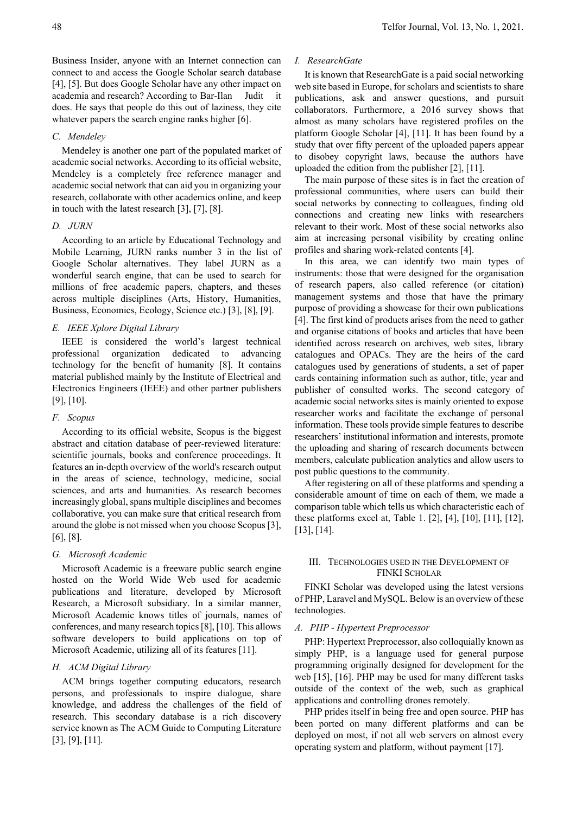## *C. Mendeley*

Mendeley is another one part of the populated market of academic social networks. According to its official website, Mendeley is a completely free reference manager and academic social network that can aid you in organizing your research, collaborate with other academics online, and keep in touch with the latest research [3], [7], [8].

whatever papers the search engine ranks higher [6].

#### *D. JURN*

According to an article by Educational Technology and Mobile Learning, JURN ranks number 3 in the list of Google Scholar alternatives. They label JURN as a wonderful search engine, that can be used to search for millions of free academic papers, chapters, and theses across multiple disciplines (Arts, History, Humanities, Business, Economics, Ecology, Science etc.) [3], [8], [9].

#### *E. IEEE Xplore Digital Library*

IEEE is considered the world's largest technical professional organization dedicated to advancing technology for the benefit of humanity [8]. It contains material published mainly by the Institute of Electrical and Electronics Engineers (IEEE) and other partner publishers [9], [10].

#### *F. Scopus*

According to its official website, Scopus is the biggest abstract and citation database of peer-reviewed literature: scientific journals, books and conference proceedings. It features an in-depth overview of the world's research output in the areas of science, technology, medicine, social sciences, and arts and humanities. As research becomes increasingly global, spans multiple disciplines and becomes collaborative, you can make sure that critical research from around the globe is not missed when you choose Scopus [3], [6], [8].

## *G. Microsoft Academic*

Microsoft Academic is a freeware public search engine hosted on the World Wide Web used for academic publications and literature, developed by Microsoft Research, a Microsoft subsidiary. In a similar manner, Microsoft Academic knows titles of journals, names of conferences, and many research topics [8], [10]. This allows software developers to build applications on top of Microsoft Academic, utilizing all of its features [11].

## *H. ACM Digital Library*

ACM brings together computing educators, research persons, and professionals to inspire dialogue, share knowledge, and address the challenges of the field of research. This secondary database is a rich discovery service known as The ACM Guide to Computing Literature [3], [9], [11].

#### *I. ResearchGate*

It is known that ResearchGate is a paid social networking web site based in Europe, for scholars and scientists to share publications, ask and answer questions, and pursuit collaborators. Furthermore, a 2016 survey shows that almost as many scholars have registered profiles on the platform Google Scholar [4], [11]. It has been found by a study that over fifty percent of the uploaded papers appear to disobey copyright laws, because the authors have uploaded the edition from the publisher [2], [11].

The main purpose of these sites is in fact the creation of professional communities, where users can build their social networks by connecting to colleagues, finding old connections and creating new links with researchers relevant to their work. Most of these social networks also aim at increasing personal visibility by creating online profiles and sharing work-related contents [4].

In this area, we can identify two main types of instruments: those that were designed for the organisation of research papers, also called reference (or citation) management systems and those that have the primary purpose of providing a showcase for their own publications [4]. The first kind of products arises from the need to gather and organise citations of books and articles that have been identified across research on archives, web sites, library catalogues and OPACs. They are the heirs of the card catalogues used by generations of students, a set of paper cards containing information such as author, title, year and publisher of consulted works. The second category of academic social networks sites is mainly oriented to expose researcher works and facilitate the exchange of personal information. These tools provide simple features to describe researchers' institutional information and interests, promote the uploading and sharing of research documents between members, calculate publication analytics and allow users to post public questions to the community.

After registering on all of these platforms and spending a considerable amount of time on each of them, we made a comparison table which tells us which characteristic each of these platforms excel at, Table 1. [2], [4], [10], [11], [12], [13], [14].

## III. TECHNOLOGIES USED IN THE DEVELOPMENT OF FINKI SCHOLAR

FINKI Scholar was developed using the latest versions of PHP, Laravel and MySQL. Below is an overview of these technologies.

## *A. PHP - Hypertext Preprocessor*

PHP: Hypertext Preprocessor, also colloquially known as simply PHP, is a language used for general purpose programming originally designed for development for the web [15], [16]. PHP may be used for many different tasks outside of the context of the web, such as graphical applications and controlling drones remotely.

PHP prides itself in being free and open source. PHP has been ported on many different platforms and can be deployed on most, if not all web servers on almost every operating system and platform, without payment [17].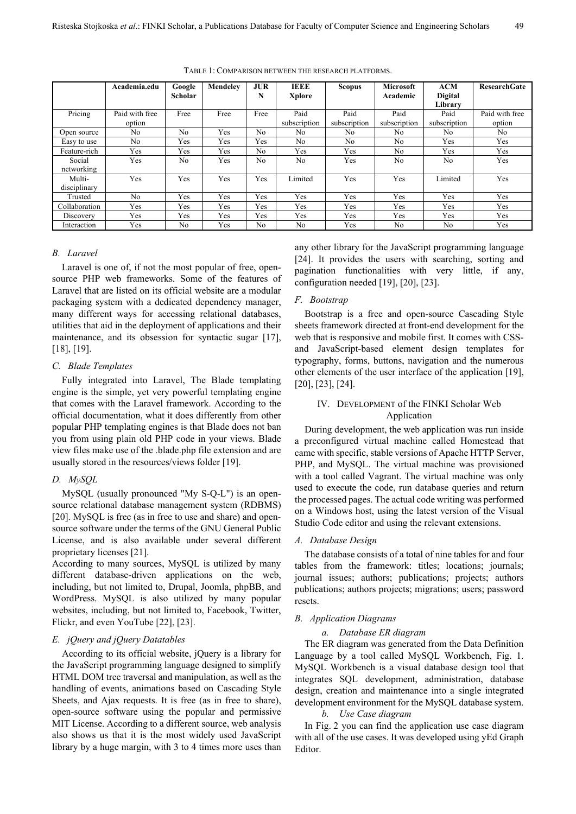|                        | Academia.edu             | Google<br><b>Scholar</b> | Mendelev   | <b>JUR</b><br>N | <b>IEEE</b><br><b>Xplore</b> | Scopus               | Microsoft<br>Academic | <b>ACM</b><br><b>Digital</b><br>Library | <b>ResearchGate</b>      |
|------------------------|--------------------------|--------------------------|------------|-----------------|------------------------------|----------------------|-----------------------|-----------------------------------------|--------------------------|
| Pricing                | Paid with free<br>option | Free                     | Free       | Free            | Paid<br>subscription         | Paid<br>subscription | Paid<br>subscription  | Paid<br>subscription                    | Paid with free<br>option |
| Open source            | No                       | No.                      | Yes        | No.             | No                           | No                   | No                    | No                                      | No                       |
| Easy to use            | No                       | Yes                      | Yes        | Yes             | No                           | No                   | No                    | Yes                                     | Yes                      |
| Feature-rich           | Yes                      | Yes                      | Yes        | No.             | Yes                          | Yes                  | No                    | Yes                                     | Yes                      |
| Social<br>networking   | Yes                      | No                       | <b>Yes</b> | No              | No                           | Yes                  | No                    | No                                      | Yes                      |
| Multi-<br>disciplinary | Yes                      | Yes                      | Yes        | Yes             | Limited                      | Yes                  | Yes                   | Limited                                 | Yes                      |
| Trusted                | N <sub>0</sub>           | Yes                      | Yes        | Yes             | Yes                          | Yes                  | Yes                   | Yes                                     | Yes                      |
| Collaboration          | Yes                      | Yes                      | Yes        | Yes             | Yes                          | Yes                  | Yes                   | Yes                                     | Yes                      |
| Discovery              | Yes                      | Yes                      | Yes        | Yes             | Yes                          | Yes                  | Yes                   | Yes                                     | Yes                      |
| Interaction            | Yes                      | No                       | Yes        | No              | No                           | Yes                  | No                    | N <sub>o</sub>                          | Yes                      |

TABLE 1: COMPARISON BETWEEN THE RESEARCH PLATFORMS.

## *B. Laravel*

Laravel is one of, if not the most popular of free, opensource PHP web frameworks. Some of the features of Laravel that are listed on its official website are a modular packaging system with a dedicated dependency manager, many different ways for accessing relational databases, utilities that aid in the deployment of applications and their maintenance, and its obsession for syntactic sugar [17], [18], [19].

#### *C. Blade Templates*

Fully integrated into Laravel, The Blade templating engine is the simple, yet very powerful templating engine that comes with the Laravel framework. According to the official documentation, what it does differently from other popular PHP templating engines is that Blade does not ban you from using plain old PHP code in your views. Blade view files make use of the .blade.php file extension and are usually stored in the resources/views folder [19].

## *D. MySQL*

MySQL (usually pronounced "My S-Q-L") is an opensource relational database management system (RDBMS) [20]. MySQL is free (as in free to use and share) and opensource software under the terms of the GNU General Public License, and is also available under several different proprietary licenses [21].

According to many sources, MySQL is utilized by many different database-driven applications on the web, including, but not limited to, Drupal, Joomla, phpBB, and WordPress. MySQL is also utilized by many popular websites, including, but not limited to, Facebook, Twitter, Flickr, and even YouTube [22], [23].

## *E. jQuery and jQuery Datatables*

According to its official website, jQuery is a library for the JavaScript programming language designed to simplify HTML DOM tree traversal and manipulation, as well as the handling of events, animations based on Cascading Style Sheets, and Ajax requests. It is free (as in free to share), open-source software using the popular and permissive MIT License. According to a different source, web analysis also shows us that it is the most widely used JavaScript library by a huge margin, with 3 to 4 times more uses than any other library for the JavaScript programming language [24]. It provides the users with searching, sorting and pagination functionalities with very little, if any, configuration needed [19], [20], [23].

#### *F. Bootstrap*

Bootstrap is a free and open-source Cascading Style sheets framework directed at front-end development for the web that is responsive and mobile first. It comes with CSSand JavaScript-based element design templates for typography, forms, buttons, navigation and the numerous other elements of the user interface of the application [19], [20], [23], [24].

## IV. DEVELOPMENT of the FINKI Scholar Web Application

During development, the web application was run inside a preconfigured virtual machine called Homestead that came with specific, stable versions of Apache HTTP Server, PHP, and MySQL. The virtual machine was provisioned with a tool called Vagrant. The virtual machine was only used to execute the code, run database queries and return the processed pages. The actual code writing was performed on a Windows host, using the latest version of the Visual Studio Code editor and using the relevant extensions.

#### *A. Database Design*

 The database consists of a total of nine tables for and four tables from the framework: titles; locations; journals; journal issues; authors; publications; projects; authors publications; authors projects; migrations; users; password resets.

#### *B. Application Diagrams*

#### *a. Database ER diagram*

The ER diagram was generated from the Data Definition Language by a tool called MySQL Workbench, Fig. 1. MySQL Workbench is a visual database design tool that integrates SQL development, administration, database design, creation and maintenance into a single integrated development environment for the MySQL database system.

## *b. Use Case diagram*

In Fig. 2 you can find the application use case diagram with all of the use cases. It was developed using yEd Graph Editor.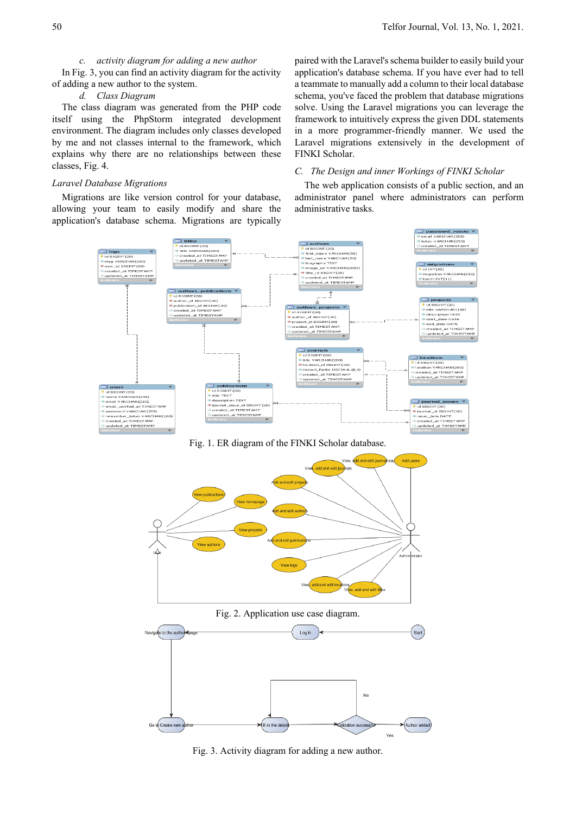# *c. activity diagram for adding a new author*

In Fig. 3, you can find an activity diagram for the activity of adding a new author to the system.

# *d. Class Diagram*

The class diagram was generated from the PHP code itself using the PhpStorm integrated development environment. The diagram includes only classes developed by me and not classes internal to the framework, which explains why there are no relationships between these classes, Fig. 4.

#### *Laravel Database Migrations*

Migrations are like version control for your database, allowing your team to easily modify and share the application's database schema. Migrations are typically paired with the Laravel's schema builder to easily build your application's database schema. If you have ever had to tell a teammate to manually add a column to their local database schema, you've faced the problem that database migrations solve. Using the Laravel migrations you can leverage the framework to intuitively express the given DDL statements in a more programmer-friendly manner. We used the Laravel migrations extensively in the development of FINKI Scholar.

## *C. The Design and inner Workings of FINKI Scholar*

The web application consists of a public section, and an administrator panel where administrators can perform administrative tasks.



Fig. 1. ER diagram of the FINKI Scholar database.



Fig. 2. Application use case diagram.



Fig. 3. Activity diagram for adding a new author.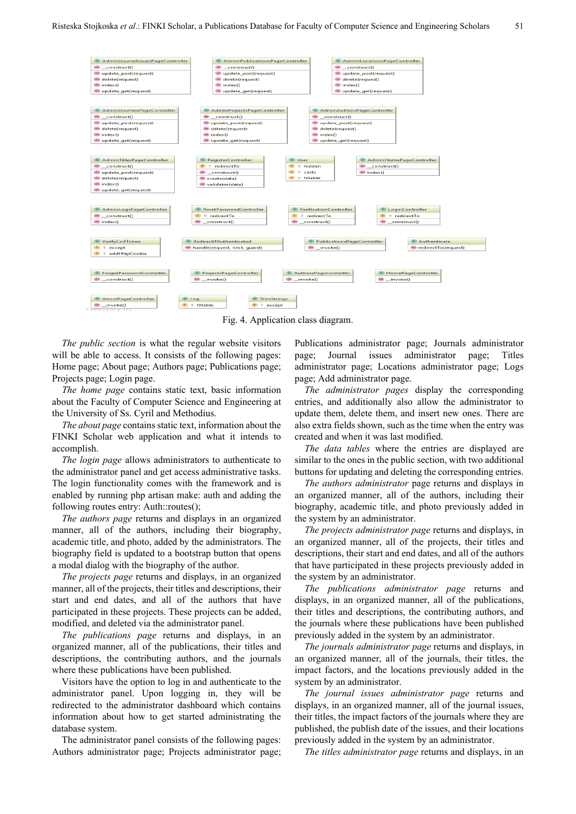

Fig. 4. Application class diagram.

*The public section* is what the regular website visitors will be able to access. It consists of the following pages: Home page; About page; Authors page; Publications page; Projects page; Login page.

*The home page* contains static text, basic information about the Faculty of Computer Science and Engineering at the University of Ss. Cyril and Methodius.

*The about page* contains static text, information about the FINKI Scholar web application and what it intends to accomplish.

*The login page* allows administrators to authenticate to the administrator panel and get access administrative tasks. The login functionality comes with the framework and is enabled by running php artisan make: auth and adding the following routes entry: Auth::routes();

*The authors page* returns and displays in an organized manner, all of the authors, including their biography, academic title, and photo, added by the administrators. The biography field is updated to a bootstrap button that opens a modal dialog with the biography of the author.

*The projects page* returns and displays, in an organized manner, all of the projects, their titles and descriptions, their start and end dates, and all of the authors that have participated in these projects. These projects can be added, modified, and deleted via the administrator panel.

*The publications page* returns and displays, in an organized manner, all of the publications, their titles and descriptions, the contributing authors, and the journals where these publications have been published.

Visitors have the option to log in and authenticate to the administrator panel. Upon logging in, they will be redirected to the administrator dashboard which contains information about how to get started administrating the database system.

The administrator panel consists of the following pages: Authors administrator page; Projects administrator page; Publications administrator page; Journals administrator page; Journal issues administrator page; Titles administrator page; Locations administrator page; Logs page; Add administrator page.

*The administrator pages* display the corresponding entries, and additionally also allow the administrator to update them, delete them, and insert new ones. There are also extra fields shown, such as the time when the entry was created and when it was last modified.

*The data tables* where the entries are displayed are similar to the ones in the public section, with two additional buttons for updating and deleting the corresponding entries.

*The authors administrator* page returns and displays in an organized manner, all of the authors, including their biography, academic title, and photo previously added in the system by an administrator.

*The projects administrator page* returns and displays, in an organized manner, all of the projects, their titles and descriptions, their start and end dates, and all of the authors that have participated in these projects previously added in the system by an administrator.

*The publications administrator page* returns and displays, in an organized manner, all of the publications, their titles and descriptions, the contributing authors, and the journals where these publications have been published previously added in the system by an administrator.

*The journals administrator page* returns and displays, in an organized manner, all of the journals, their titles, the impact factors, and the locations previously added in the system by an administrator.

*The journal issues administrator page* returns and displays, in an organized manner, all of the journal issues, their titles, the impact factors of the journals where they are published, the publish date of the issues, and their locations previously added in the system by an administrator.

*The titles administrator page* returns and displays, in an